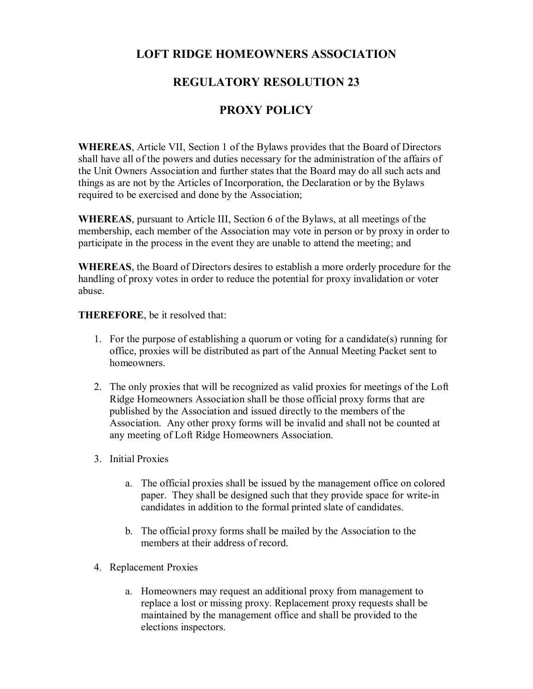## **LOFT RIDGE HOMEOWNERS ASSOCIATION**

## **REGULATORY RESOLUTION 23**

## **PROXY POLICY**

**WHEREAS**, Article VII, Section 1 of the Bylaws provides that the Board of Directors shall have all of the powers and duties necessary for the administration of the affairs of the Unit Owners Association and further states that the Board may do all such acts and things as are not by the Articles of Incorporation, the Declaration or by the Bylaws required to be exercised and done by the Association;

**WHEREAS**, pursuant to Article III, Section 6 of the Bylaws, at all meetings of the membership, each member of the Association may vote in person or by proxy in order to participate in the process in the event they are unable to attend the meeting; and

**WHEREAS**, the Board of Directors desires to establish a more orderly procedure for the handling of proxy votes in order to reduce the potential for proxy invalidation or voter abuse.

**THEREFORE**, be it resolved that:

- 1. For the purpose of establishing a quorum or voting for a candidate(s) running for office, proxies will be distributed as part of the Annual Meeting Packet sent to homeowners.
- 2. The only proxies that will be recognized as valid proxies for meetings of the Loft Ridge Homeowners Association shall be those official proxy forms that are published by the Association and issued directly to the members of the Association. Any other proxy forms will be invalid and shall not be counted at any meeting of Loft Ridge Homeowners Association.
- 3. Initial Proxies
	- a. The official proxies shall be issued by the management office on colored paper. They shall be designed such that they provide space for write-in candidates in addition to the formal printed slate of candidates.
	- b. The official proxy forms shall be mailed by the Association to the members at their address of record.
- 4. Replacement Proxies
	- a. Homeowners may request an additional proxy from management to replace a lost or missing proxy. Replacement proxy requests shall be maintained by the management office and shall be provided to the elections inspectors.